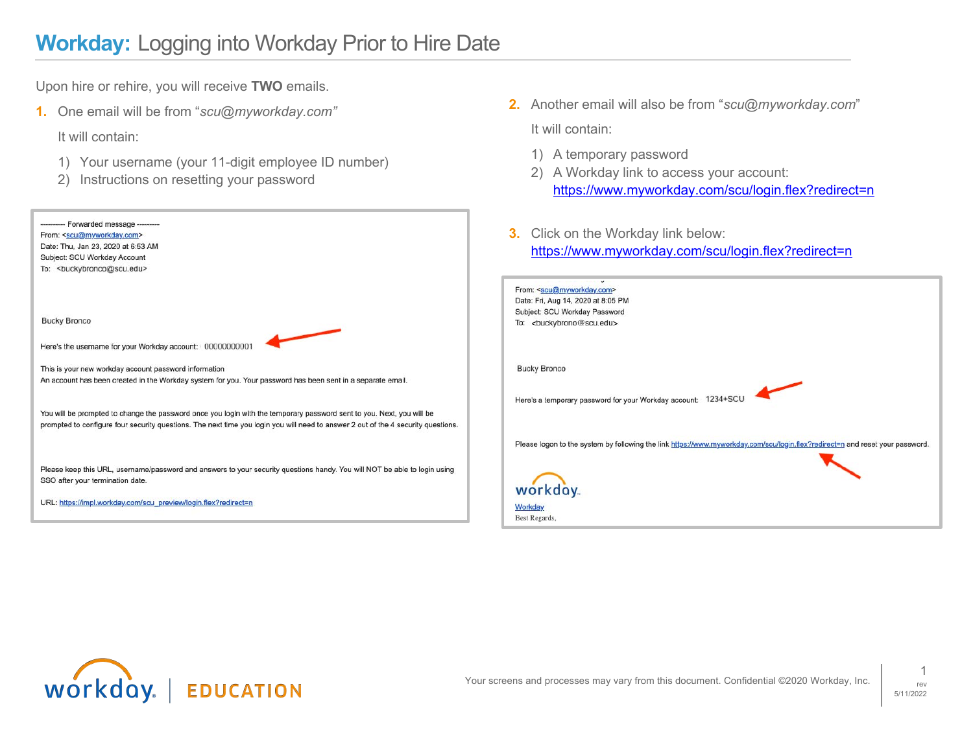Upon hire or rehire, you will receive **TWO** emails.

**1.** One email will be from "*scu@myworkday.com"*

It will contain:

- 1) Your username (your 11-digit employee ID number)
- 2) Instructions on resetting your password

| ---------- Forwarded message ---------                          |                                                                                                                                   |
|-----------------------------------------------------------------|-----------------------------------------------------------------------------------------------------------------------------------|
| From: <scu@myworkday.com></scu@myworkday.com>                   |                                                                                                                                   |
| Date: Thu, Jan 23, 2020 at 6:53 AM                              |                                                                                                                                   |
| Subject: SCU Workday Account                                    |                                                                                                                                   |
| To:<br>suckybronco@scu.edu>                                     |                                                                                                                                   |
| <b>Bucky Bronco</b>                                             |                                                                                                                                   |
| Here's the username for your Workday account: 00000000001       |                                                                                                                                   |
| This is your new workday account password information           |                                                                                                                                   |
|                                                                 | An account has been created in the Workday system for you. Your password has been sent in a separate email.                       |
|                                                                 | You will be prompted to change the password once you login with the temporary password sent to you. Next, you will be             |
|                                                                 | prompted to configure four security questions. The next time you login you will need to answer 2 out of the 4 security questions. |
|                                                                 | Please keep this URL, username/password and answers to your security questions handy. You will NOT be able to login using         |
| SSO after your termination date.                                |                                                                                                                                   |
| URL: https://impl.workday.com/scu_preview/login.flex?redirect=n |                                                                                                                                   |

- **2.** Another email will also be from "*scu@myworkday.com*" It will contain:
	- 1) A temporary password
	- 2) A Workday link to access your account: https://www.myworkday.com/scu/login.flex?redirect=n
- **3.** Click on the Workday link below: https://www.myworkday.com/scu/login.flex?redirect=n

| From: <scu@myworkday.com></scu@myworkday.com>                                                                                 |
|-------------------------------------------------------------------------------------------------------------------------------|
| Date: Fri, Aug 14, 2020 at 8:05 PM                                                                                            |
| Subject: SCU Workday Password                                                                                                 |
| To:<br><br>couckybrono@scu.edu>                                                                                               |
|                                                                                                                               |
| <b>Bucky Bronco</b>                                                                                                           |
| Here's a temporary password for your Workday account: 1234+SCU                                                                |
| Please logon to the system by following the link https://www.myworkday.com/scu/login.flex?redirect=n and reset your password. |
| workday.                                                                                                                      |
| Workday<br>Best Regards,                                                                                                      |

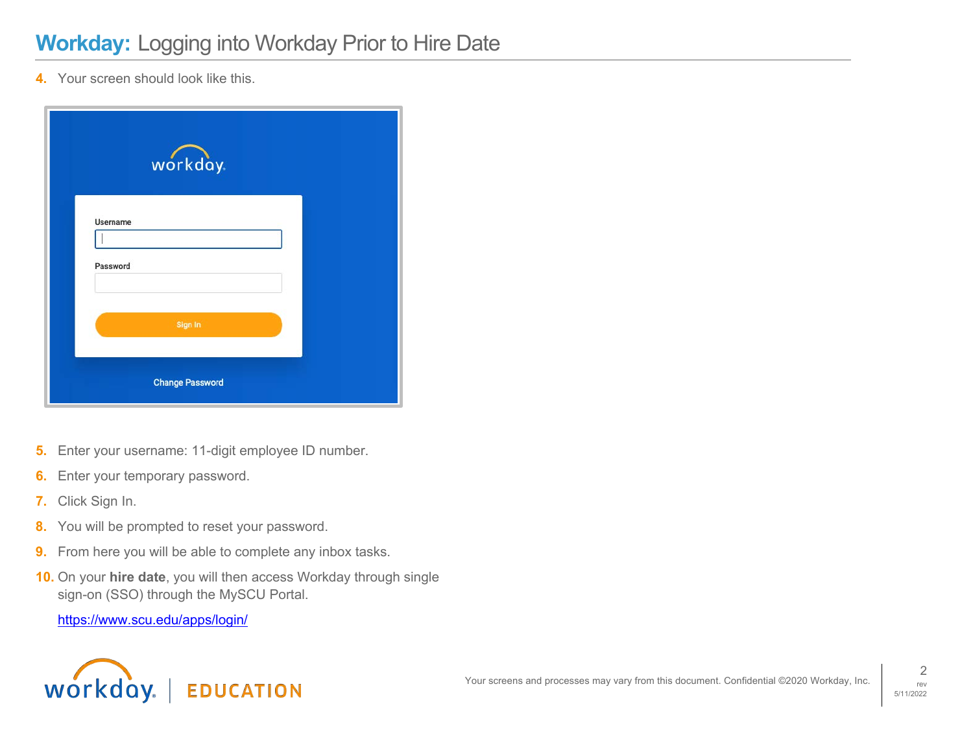**4.** Your screen should look like this.

|                      | workday.               |  |
|----------------------|------------------------|--|
| Username<br>Password |                        |  |
|                      | Sign In                |  |
|                      | <b>Change Password</b> |  |

- **5.** Enter your username: 11-digit employee ID number.
- **6.** Enter your temporary password.
- **7.** Click Sign In.
- **8.** You will be prompted to reset your password.
- **9.** From here you will be able to complete any inbox tasks.
- **10.** On your **hire date**, you will then access Workday through single sign-on (SSO) through the MySCU Portal.

https://www.scu.edu/apps/login/

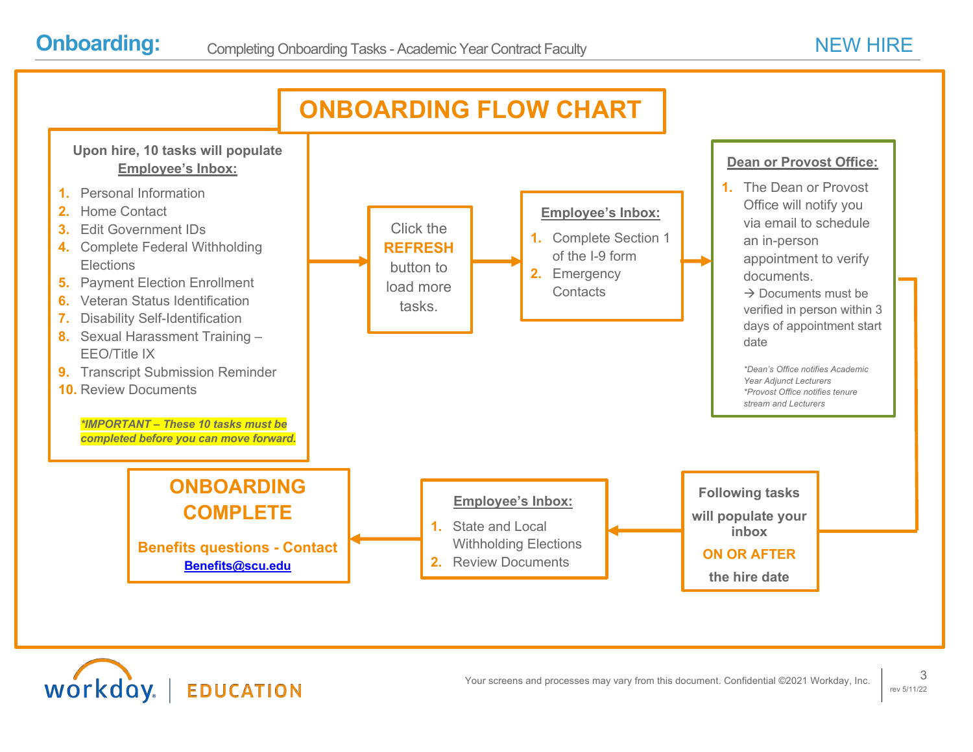workday.

**EDUCATION** 

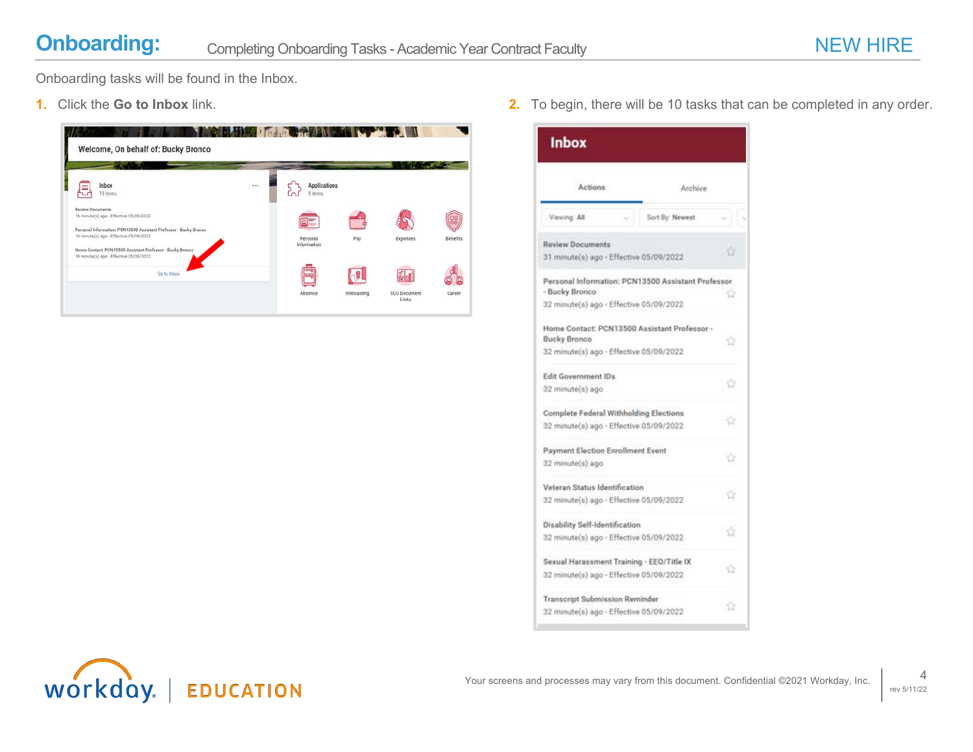Onboarding tasks will be found in the Inbox.

| Inbox<br>10 Items                                                                                            | <br><b>Applications</b><br>8 items |     |                              |                 |
|--------------------------------------------------------------------------------------------------------------|------------------------------------|-----|------------------------------|-----------------|
| <b>Review Documents</b><br>16 minute(s) ago - Effective 05/09/2022                                           | <b>TELE</b>                        |     |                              |                 |
| Personal Information: PCN13500 Assistant Professor - Bucky Bronco<br>16 minute(s) ago - Effective 05/09/2022 | Personal<br>Information            | Pay | Expenses                     | <b>Benefits</b> |
| Home Contact: PCN13500 Assistant Professor - Bucky Bronco<br>16 minute(s) ago - Effective 05/09/2022         |                                    |     |                              |                 |
| Go to Inbox                                                                                                  |                                    |     | $\frac{\infty}{\sin \theta}$ |                 |

**1.** Click the **Go to Inbox** link. **2.** To begin, there will be 10 tasks that can be completed in any order.

| Actions                                                              | Archive         |    |
|----------------------------------------------------------------------|-----------------|----|
| Viewing: All                                                         | Sort By: Newest |    |
| <b>Review Documents</b>                                              |                 |    |
| 31 minute(s) ago - Effective 05/09/2022                              |                 |    |
| Personal Information: PCN13500 Assistant Professor<br>- Bucky Bronco |                 |    |
| 32 minute(s) ago - Effective 05/09/2022                              |                 |    |
| Home Contact: PCN13500 Assistant Professor -<br><b>Bucky Bronco</b>  |                 |    |
| 32 minute(s) ago - Effective 05/09/2022                              |                 |    |
| <b>Edit Government IDs</b>                                           |                 |    |
| 32 minute(s) ago                                                     |                 |    |
| Complete Federal Withholding Elections                               |                 |    |
| 32 minute(s) ago - Effective 05/09/2022                              |                 |    |
| Payment Election Enrollment Event                                    |                 |    |
| 32 minute(s) ago                                                     |                 |    |
| Veteran Status Identification                                        |                 |    |
| 32 minute(s) ago - Effective 05/09/2022                              |                 |    |
| <b>Disability Self-Identification</b>                                |                 |    |
| 32 minute(s) ago - Effective 05/09/2022                              |                 |    |
| Sexual Harassment Training - EEO/Title IX                            |                 |    |
| 32 minute(s) ago - Effective 05/09/2022                              |                 | 12 |
| <b>Transcript Submission Reminder</b>                                |                 |    |
| 32 minute(s) ago - Effective 05/09/2022                              |                 | ū  |

Inbox

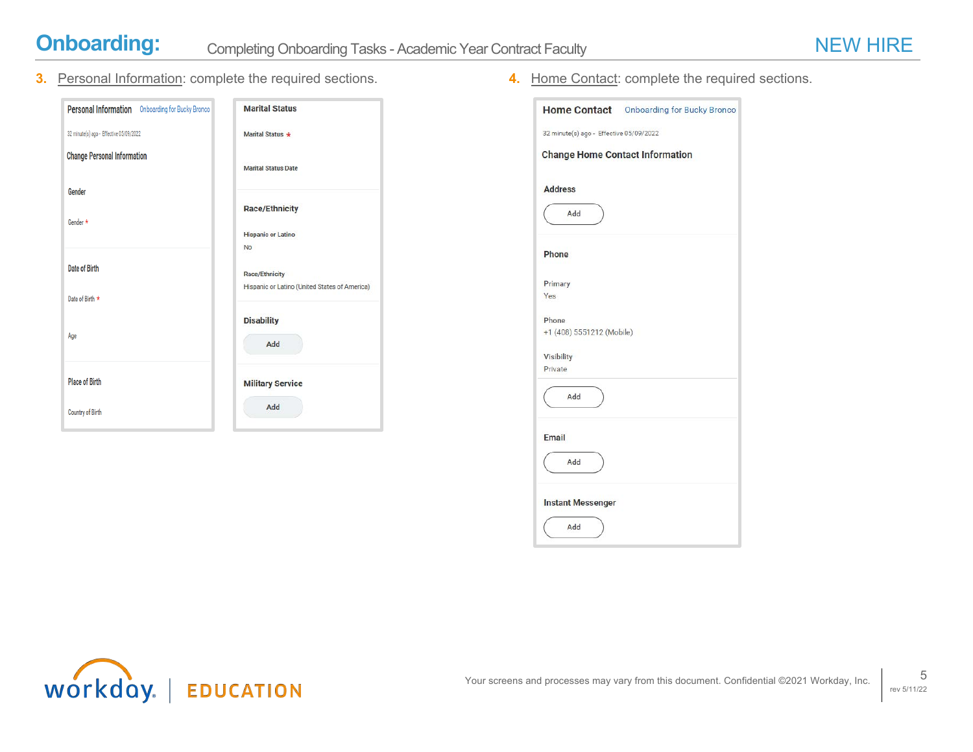

**3.** Personal Information: complete the required sections. **4.** Home Contact: complete the required sections.

| Personal Information Onboarding for Bucky Bronco | <b>Marital Status</b>                         |
|--------------------------------------------------|-----------------------------------------------|
| 32 minute(s) ago - Effective 05/09/2022          | Marital Status *                              |
| <b>Change Personal Information</b>               | <b>Marital Status Date</b>                    |
| <b>Gender</b><br>Gender *                        | <b>Race/Ethnicity</b>                         |
|                                                  | <b>Hispanic or Latino</b><br>No               |
| Date of Birth                                    | <b>Race/Ethnicity</b>                         |
| Date of Birth *                                  | Hispanic or Latino (United States of America) |
| Age                                              | <b>Disability</b><br>Add                      |
| <b>Place of Birth</b>                            | <b>Military Service</b>                       |
| <b>Country of Birth</b>                          | Add                                           |

|                                         | Home Contact Onboarding for Bucky Bronco |
|-----------------------------------------|------------------------------------------|
| 32 minute(s) ago - Effective 05/09/2022 |                                          |
| <b>Change Home Contact Information</b>  |                                          |
| <b>Address</b>                          |                                          |
| Add                                     |                                          |
| Phone                                   |                                          |
| Primary                                 |                                          |
| Yes                                     |                                          |
| Phone<br>+1 (408) 5551212 (Mobile)      |                                          |
| Visibility                              |                                          |
| Private                                 |                                          |
| Add                                     |                                          |
| <b>Email</b>                            |                                          |
| Add                                     |                                          |
| <b>Instant Messenger</b>                |                                          |
| Add                                     |                                          |

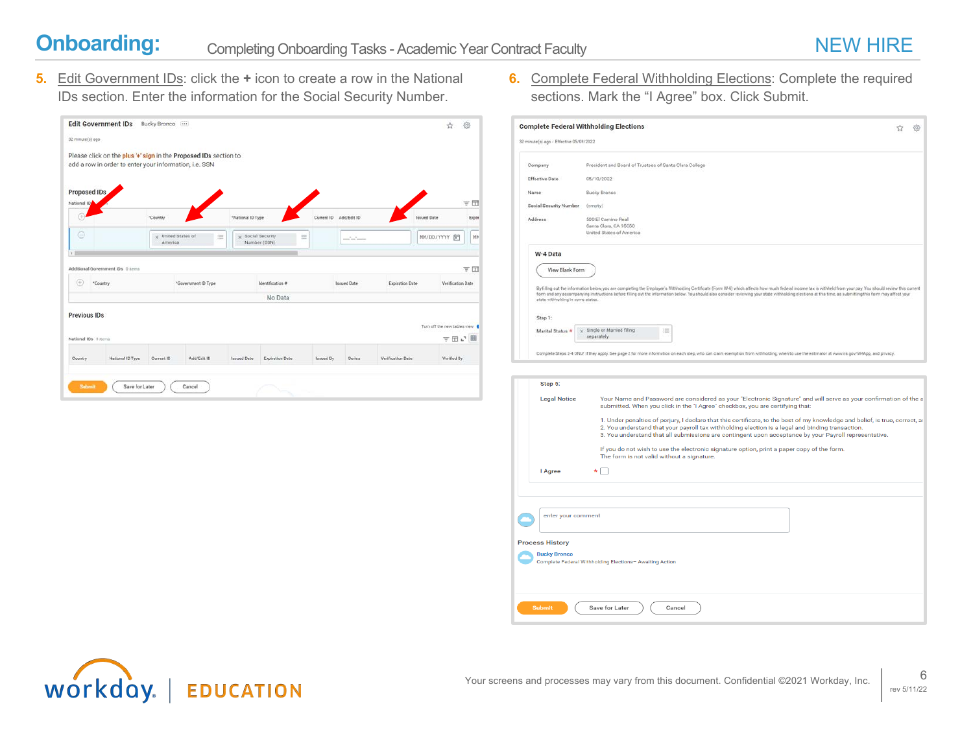**5.** Edit Government IDs: click the **+** icon to create a row in the National IDs section. Enter the information for the Social Security Number.

| <b>Edit Government IDs</b>                 | Bucky Branco |                                                                                         |                                                                                         |                                                        |                                    |                                     |                            |                    |                        |                                                                   |
|--------------------------------------------|--------------|-----------------------------------------------------------------------------------------|-----------------------------------------------------------------------------------------|--------------------------------------------------------|------------------------------------|-------------------------------------|----------------------------|--------------------|------------------------|-------------------------------------------------------------------|
|                                            |              |                                                                                         |                                                                                         |                                                        |                                    |                                     |                            |                    |                        |                                                                   |
|                                            |              |                                                                                         |                                                                                         |                                                        |                                    |                                     |                            |                    |                        |                                                                   |
| <b>Proposed IDs</b>                        |              |                                                                                         |                                                                                         |                                                        |                                    |                                     |                            |                    |                        | 支団                                                                |
|                                            | "Country     |                                                                                         |                                                                                         |                                                        | Current ID                         |                                     |                            | <b>Issued Date</b> |                        | Expir                                                             |
|                                            |              | 洼                                                                                       |                                                                                         | 洼                                                      |                                    | $-1$ . The set of the set of $\sim$ |                            |                    |                        | MH                                                                |
| Additional Government IDs 0 Items          |              |                                                                                         |                                                                                         |                                                        |                                    |                                     |                            |                    |                        | 平田                                                                |
| "Country                                   |              |                                                                                         |                                                                                         |                                                        |                                    |                                     |                            |                    |                        |                                                                   |
|                                            |              |                                                                                         |                                                                                         |                                                        |                                    |                                     |                            |                    |                        |                                                                   |
| <b>Previous IDs</b><br>National IDs 0 Nems |              |                                                                                         |                                                                                         |                                                        |                                    |                                     |                            |                    | ▽田い囲                   |                                                                   |
|                                            |              |                                                                                         |                                                                                         |                                                        |                                    |                                     | Verification Date          |                    |                        |                                                                   |
|                                            |              | add a row in order to enter your information, i.e. SSN<br>x United States of<br>America | Please click on the plus '+' sign in the Proposed IDs section to<br>"Government ID Type | "National ID Type<br>x Social Security<br>Number (SSN) | <b>Identification #</b><br>No Data |                                     | Add/Edit ID<br>Issued Date |                    | <b>Expiration Date</b> | MM/DD/YYYY 白<br>Verification Date<br>Turn off the new tables view |

**6.** Complete Federal Withholding Elections: Complete the required sections. Mark the "I Agree" box. Click Submit.

| 32 minute(s) ago - Effective 05/09/2022 | <b>Complete Federal Withholding Elections</b>                                                                                                                                                                                                                                                                                                                                                                                |  |
|-----------------------------------------|------------------------------------------------------------------------------------------------------------------------------------------------------------------------------------------------------------------------------------------------------------------------------------------------------------------------------------------------------------------------------------------------------------------------------|--|
|                                         |                                                                                                                                                                                                                                                                                                                                                                                                                              |  |
| Company                                 | President and Board of Trustees of Santa Clara College                                                                                                                                                                                                                                                                                                                                                                       |  |
| <b>Effective Date</b>                   | 05/10/2022                                                                                                                                                                                                                                                                                                                                                                                                                   |  |
| Name                                    | <b>Bucky Bronco</b>                                                                                                                                                                                                                                                                                                                                                                                                          |  |
| <b>Social Security Number</b>           | (empty)                                                                                                                                                                                                                                                                                                                                                                                                                      |  |
| Address                                 | 500 El Camino Real<br>Santa Clara, CA 95050<br>United States of America                                                                                                                                                                                                                                                                                                                                                      |  |
| W-4 Data                                |                                                                                                                                                                                                                                                                                                                                                                                                                              |  |
| View Blank Form                         |                                                                                                                                                                                                                                                                                                                                                                                                                              |  |
|                                         |                                                                                                                                                                                                                                                                                                                                                                                                                              |  |
| state withholding in some states.       | By filling out the information below, you are completing the Employee's Withholding Certificate (Form W-4) which affects how much federal income tax is withheld from your pay. You should review this current<br>form and any accompanying instructions before filling out the information below. You should also consider reviewing your state withholding elections at this time, as submitting this form may affect your |  |
| Step 1:                                 |                                                                                                                                                                                                                                                                                                                                                                                                                              |  |
| Marital Status                          | Single or Married filing<br>洼<br>separately                                                                                                                                                                                                                                                                                                                                                                                  |  |
|                                         |                                                                                                                                                                                                                                                                                                                                                                                                                              |  |
|                                         | Complete Steps 2-4 ONLY if they apply. See page 2 for more information on each step, who can claim exemption from withholding, when to use the estimator at www.irs.gov/W4App, and privacy.                                                                                                                                                                                                                                  |  |
|                                         |                                                                                                                                                                                                                                                                                                                                                                                                                              |  |
| Step 5:                                 |                                                                                                                                                                                                                                                                                                                                                                                                                              |  |
| <b>Legal Notice</b>                     | Your Name and Password are considered as your "Electronic Signature" and will serve as your confirmation of the a<br>submitted. When you click in the "I Agree" checkbox, you are certifying that:                                                                                                                                                                                                                           |  |
|                                         |                                                                                                                                                                                                                                                                                                                                                                                                                              |  |
|                                         | 1. Under penalties of perjury, I declare that this certificate, to the best of my knowledge and belief, is true, correct, ar<br>2. You understand that your payroll tax withholding election is a legal and binding transaction.                                                                                                                                                                                             |  |
|                                         | 3. You understand that all submissions are contingent upon acceptance by your Payroll representative.                                                                                                                                                                                                                                                                                                                        |  |
|                                         | If you do not wish to use the electronic signature option, print a paper copy of the form.<br>The form is not valid without a signature.                                                                                                                                                                                                                                                                                     |  |
| I Agree                                 |                                                                                                                                                                                                                                                                                                                                                                                                                              |  |
|                                         |                                                                                                                                                                                                                                                                                                                                                                                                                              |  |
|                                         |                                                                                                                                                                                                                                                                                                                                                                                                                              |  |
|                                         |                                                                                                                                                                                                                                                                                                                                                                                                                              |  |
|                                         |                                                                                                                                                                                                                                                                                                                                                                                                                              |  |
| enter your comment                      |                                                                                                                                                                                                                                                                                                                                                                                                                              |  |
|                                         |                                                                                                                                                                                                                                                                                                                                                                                                                              |  |
| <b>Process History</b>                  |                                                                                                                                                                                                                                                                                                                                                                                                                              |  |
| <b>Bucky Bronco</b>                     | Complete Federal Withholding Elections- Awaiting Action                                                                                                                                                                                                                                                                                                                                                                      |  |
|                                         |                                                                                                                                                                                                                                                                                                                                                                                                                              |  |

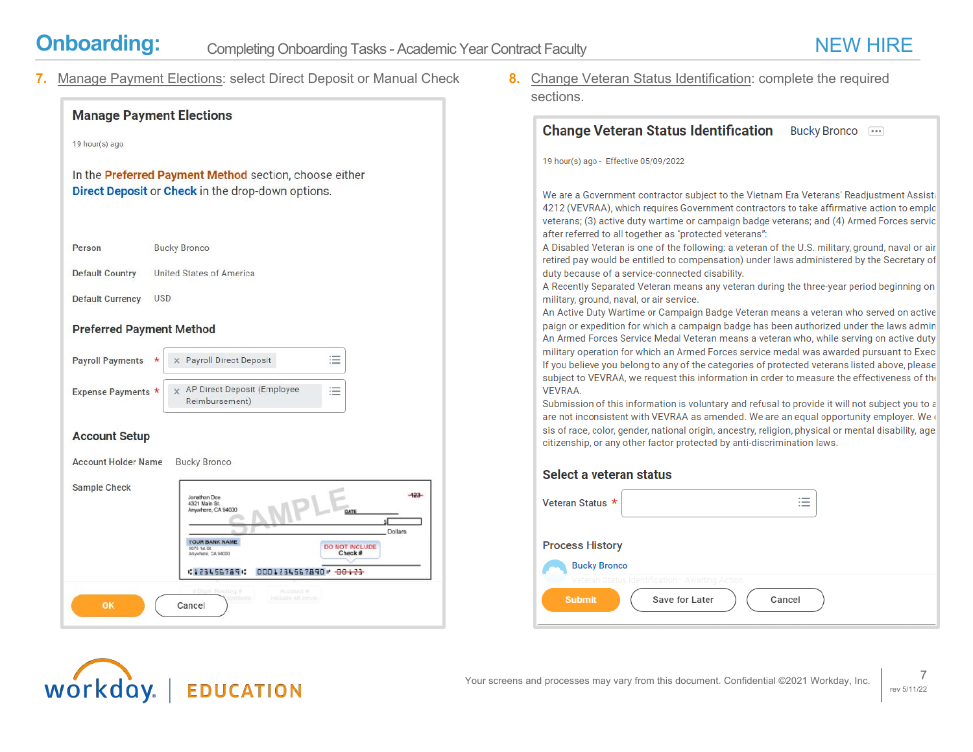workday.

**7.** Manage Payment Elections: select Direct Deposit or Manual Check **8.** Change Veteran Status Identification: complete the required



**EDUCATION** 

sections.

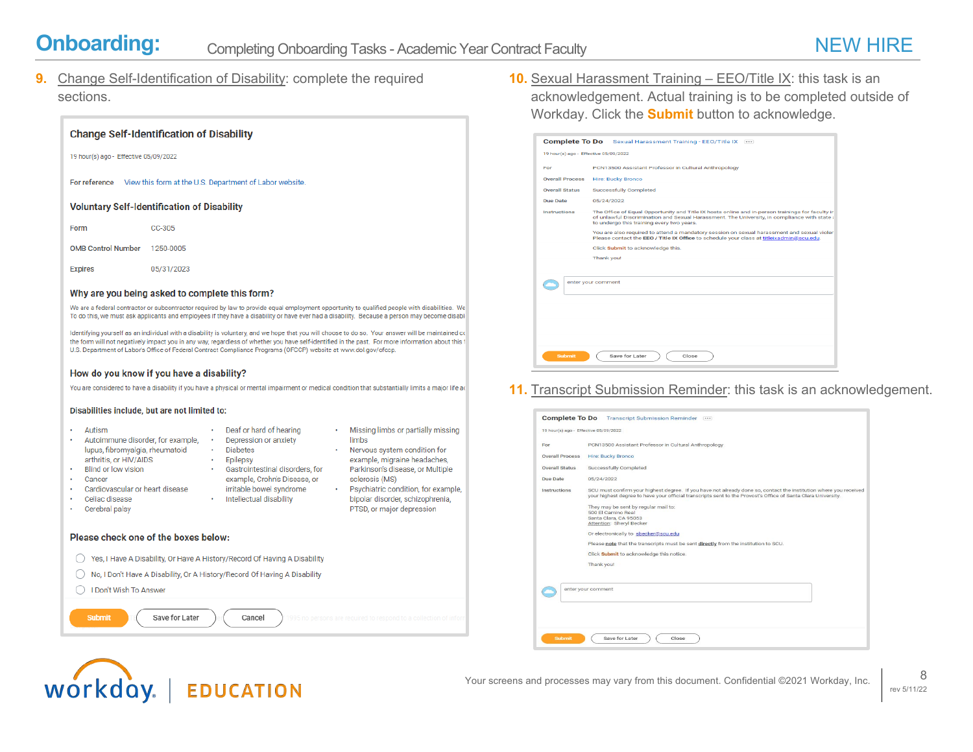workday.

**9.** Change Self-Identification of Disability: complete the required sections.

| <b>Change Self-Identification of Disability</b>                                                                                                                                                                  |                                                                                                                                                                                                                                                                                                                                                                                                                                                                                                                                                                                                                                                                                                                                                                                                                                                                                                                                                                                             |  |
|------------------------------------------------------------------------------------------------------------------------------------------------------------------------------------------------------------------|---------------------------------------------------------------------------------------------------------------------------------------------------------------------------------------------------------------------------------------------------------------------------------------------------------------------------------------------------------------------------------------------------------------------------------------------------------------------------------------------------------------------------------------------------------------------------------------------------------------------------------------------------------------------------------------------------------------------------------------------------------------------------------------------------------------------------------------------------------------------------------------------------------------------------------------------------------------------------------------------|--|
| 19 hour(s) ago - Effective 05/09/2022                                                                                                                                                                            |                                                                                                                                                                                                                                                                                                                                                                                                                                                                                                                                                                                                                                                                                                                                                                                                                                                                                                                                                                                             |  |
| For reference                                                                                                                                                                                                    | View this form at the U.S. Department of Labor website.                                                                                                                                                                                                                                                                                                                                                                                                                                                                                                                                                                                                                                                                                                                                                                                                                                                                                                                                     |  |
| <b>Voluntary Self-Identification of Disability</b>                                                                                                                                                               |                                                                                                                                                                                                                                                                                                                                                                                                                                                                                                                                                                                                                                                                                                                                                                                                                                                                                                                                                                                             |  |
| Form<br>CC-305                                                                                                                                                                                                   |                                                                                                                                                                                                                                                                                                                                                                                                                                                                                                                                                                                                                                                                                                                                                                                                                                                                                                                                                                                             |  |
| <b>OMB Control Number</b><br>1250-0005                                                                                                                                                                           |                                                                                                                                                                                                                                                                                                                                                                                                                                                                                                                                                                                                                                                                                                                                                                                                                                                                                                                                                                                             |  |
| <b>Expires</b><br>05/31/2023                                                                                                                                                                                     |                                                                                                                                                                                                                                                                                                                                                                                                                                                                                                                                                                                                                                                                                                                                                                                                                                                                                                                                                                                             |  |
| Why are you being asked to complete this form?<br>How do you know if you have a disability?<br>Disabilities include, but are not limited to:<br>Autism<br>Autoimmune disorder, for example,                      | We are a federal contractor or subcontractor required by law to provide equal employment opportunity to qualified people with disabilities. We<br>To do this, we must ask applicants and employees if they have a disability or have ever had a disability. Because a person may become disabli<br>Identifying yourself as an individual with a disability is voluntary, and we hope that you will choose to do so. Your answer will be maintained co<br>the form will not negatively impact you in any way, regardless of whether you have self-identified in the past. For more information about this f<br>U.S. Department of Labor's Office of Federal Contract Compliance Programs (OFCCP) website at www.dol.gov/ofccp.<br>You are considered to have a disability if you have a physical or mental impairment or medical condition that substantially limits a major life ac<br>Deaf or hard of hearing<br>Missing limbs or partially missing<br>limbs<br>Depression or anxiety<br>٠ |  |
| lupus, fibromyalgia, rheumatoid<br>arthritis, or HIV/AIDS<br><b>Blind or low vision</b><br>Cancer<br>Cardiovascular or heart disease<br>Celiac disease<br>Cerebral palsy<br>Please check one of the boxes below: | <b>Diabetes</b><br>Nervous system condition for<br>example, migraine headaches,<br>Epilepsy<br>Gastrointestinal disorders, for<br>Parkinson's disease, or Multiple<br>example, Crohn's Disease, or<br>sclerosis (MS)<br>irritable bowel syndrome<br>Psychiatric condition, for example,<br>Intellectual disability<br>bipolar disorder, schizophrenia,<br>PTSD, or major depression                                                                                                                                                                                                                                                                                                                                                                                                                                                                                                                                                                                                         |  |
|                                                                                                                                                                                                                  | Yes, I Have A Disability, Or Have A History/Record Of Having A Disability                                                                                                                                                                                                                                                                                                                                                                                                                                                                                                                                                                                                                                                                                                                                                                                                                                                                                                                   |  |
|                                                                                                                                                                                                                  | No, I Don't Have A Disability, Or A History/Record Of Having A Disability                                                                                                                                                                                                                                                                                                                                                                                                                                                                                                                                                                                                                                                                                                                                                                                                                                                                                                                   |  |
| I Don't Wish To Answer                                                                                                                                                                                           |                                                                                                                                                                                                                                                                                                                                                                                                                                                                                                                                                                                                                                                                                                                                                                                                                                                                                                                                                                                             |  |
| <b>Submit</b><br>Save for Later                                                                                                                                                                                  | Cancel                                                                                                                                                                                                                                                                                                                                                                                                                                                                                                                                                                                                                                                                                                                                                                                                                                                                                                                                                                                      |  |

**EDUCATION** 

**10.** Sexual Harassment Training – EEO/Title IX: this task is an acknowledgement. Actual training is to be completed outside of Workday. Click the **Submit** button to acknowledge.

|                                       | Complete To Do Sexual Harassment Training - EEO/Title IX                                                                                                                                                                                      |
|---------------------------------------|-----------------------------------------------------------------------------------------------------------------------------------------------------------------------------------------------------------------------------------------------|
| 19 hour(s) ago - Effective 05/09/2022 |                                                                                                                                                                                                                                               |
| For                                   | PCN13500 Assistant Professor in Cultural Anthropology                                                                                                                                                                                         |
| <b>Overall Process</b>                | <b>Hire: Bucky Bronco</b>                                                                                                                                                                                                                     |
| <b>Overall Status</b>                 | <b>Successfully Completed</b>                                                                                                                                                                                                                 |
| Due Date                              | 05/24/2022                                                                                                                                                                                                                                    |
| Instructions                          | The Office of Equal Opportunity and Title IX hosts online and in-person trainings for faculty in<br>of unlawful Discrimination and Sexual Harassment. The University, in compliance with state a<br>to undergo this training every two years. |
|                                       | You are also required to attend a mandatory session on sexual harassment and sexual violer<br>Please contact the EEO / Title IX Office to schedule your class at titleixadmin@scu.edu.                                                        |
|                                       | Click Submit to acknowledge this.                                                                                                                                                                                                             |
|                                       | Thank you!                                                                                                                                                                                                                                    |
|                                       |                                                                                                                                                                                                                                               |
|                                       | enter your comment                                                                                                                                                                                                                            |
|                                       |                                                                                                                                                                                                                                               |
|                                       |                                                                                                                                                                                                                                               |
|                                       |                                                                                                                                                                                                                                               |
|                                       |                                                                                                                                                                                                                                               |
| <b>Submit</b>                         | Save for Later<br>Close                                                                                                                                                                                                                       |

**11.** Transcript Submission Reminder: this task is an acknowledgement.

| PCN13500 Assistant Professor in Cultural Anthropology<br><b>Overall Process</b><br>Hire: Bucky Bronco<br><b>Overall Status</b><br>Successfully Completed<br>Due Date<br>05/24/2022<br>SCU must confirm your highest degree. If you have not already done so, contact the institution where you received<br>Instructions<br>your highest degree to have your official transcripts sent to the Provost's Office of Santa Clara University.<br>They may be sent by regular mail to:<br>500 El Camino Real<br>Santa Clara, CA 95053<br>Attention: Sheryl Becker<br>Or electronically to sbecker@scu.edu<br>Please note that the transcripts must be sent directly from the institution to SCU.<br>Click Submit to acknowledge this notice.<br>Thank you! |  |
|------------------------------------------------------------------------------------------------------------------------------------------------------------------------------------------------------------------------------------------------------------------------------------------------------------------------------------------------------------------------------------------------------------------------------------------------------------------------------------------------------------------------------------------------------------------------------------------------------------------------------------------------------------------------------------------------------------------------------------------------------|--|
|                                                                                                                                                                                                                                                                                                                                                                                                                                                                                                                                                                                                                                                                                                                                                      |  |
|                                                                                                                                                                                                                                                                                                                                                                                                                                                                                                                                                                                                                                                                                                                                                      |  |
|                                                                                                                                                                                                                                                                                                                                                                                                                                                                                                                                                                                                                                                                                                                                                      |  |
|                                                                                                                                                                                                                                                                                                                                                                                                                                                                                                                                                                                                                                                                                                                                                      |  |
|                                                                                                                                                                                                                                                                                                                                                                                                                                                                                                                                                                                                                                                                                                                                                      |  |
|                                                                                                                                                                                                                                                                                                                                                                                                                                                                                                                                                                                                                                                                                                                                                      |  |
|                                                                                                                                                                                                                                                                                                                                                                                                                                                                                                                                                                                                                                                                                                                                                      |  |
|                                                                                                                                                                                                                                                                                                                                                                                                                                                                                                                                                                                                                                                                                                                                                      |  |
|                                                                                                                                                                                                                                                                                                                                                                                                                                                                                                                                                                                                                                                                                                                                                      |  |
|                                                                                                                                                                                                                                                                                                                                                                                                                                                                                                                                                                                                                                                                                                                                                      |  |
|                                                                                                                                                                                                                                                                                                                                                                                                                                                                                                                                                                                                                                                                                                                                                      |  |
|                                                                                                                                                                                                                                                                                                                                                                                                                                                                                                                                                                                                                                                                                                                                                      |  |
| enter your comment                                                                                                                                                                                                                                                                                                                                                                                                                                                                                                                                                                                                                                                                                                                                   |  |
|                                                                                                                                                                                                                                                                                                                                                                                                                                                                                                                                                                                                                                                                                                                                                      |  |
|                                                                                                                                                                                                                                                                                                                                                                                                                                                                                                                                                                                                                                                                                                                                                      |  |
|                                                                                                                                                                                                                                                                                                                                                                                                                                                                                                                                                                                                                                                                                                                                                      |  |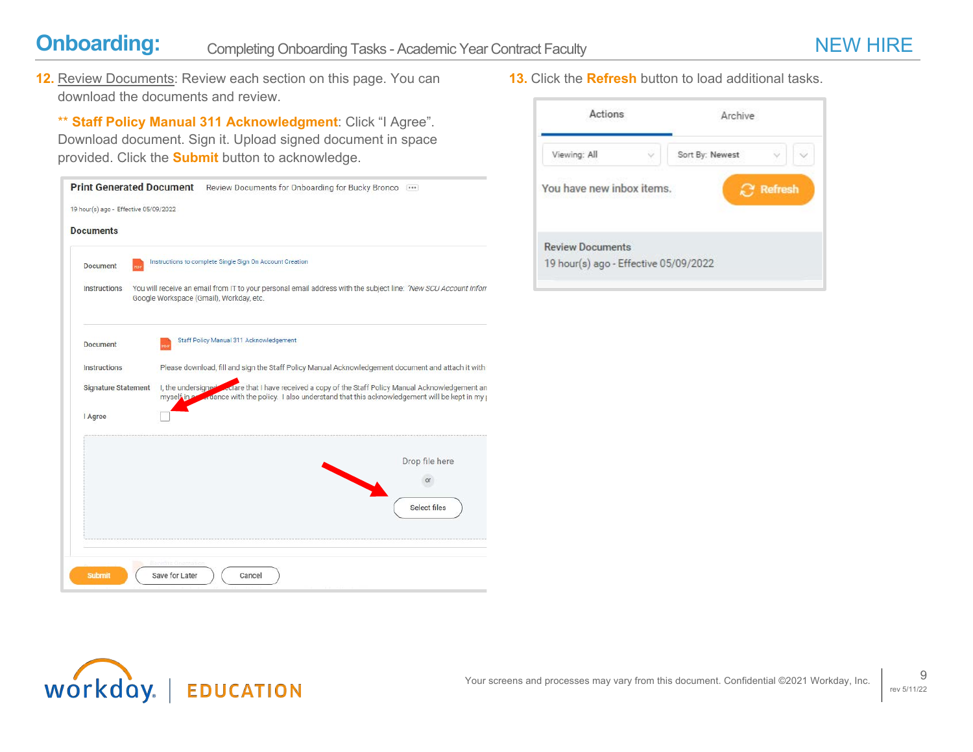**12.** Review Documents: Review each section on this page. You can download the documents and review.

\*\* **Staff Policy Manual 311 Acknowledgment**: Click "I Agree". Download document. Sign it. Upload signed document in space provided. Click the **Submit** button to acknowledge.

|                                       | Print Generated Document Review Documents for Onboarding for Bucky Bronco                                                                                                                                    |                     |
|---------------------------------------|--------------------------------------------------------------------------------------------------------------------------------------------------------------------------------------------------------------|---------------------|
| 19 hour(s) ago - Effective 05/09/2022 |                                                                                                                                                                                                              |                     |
| <b>Documents</b>                      |                                                                                                                                                                                                              |                     |
| Document                              | Instructions to complete Single Sign On Account Creation                                                                                                                                                     |                     |
| Instructions                          | You will receive an email from IT to your personal email address with the subject line: "New SCU Account Inform<br>Google Workspace (Gmail), Workday, etc.                                                   |                     |
| <b>Document</b>                       | Staff Policy Manual 311 Acknowledgement                                                                                                                                                                      |                     |
| Instructions                          | Please download, fill and sign the Staff Policy Manual Acknowledgement document and attach it with '                                                                                                         |                     |
| <b>Signature Statement</b>            | I, the undersigned seare that I have received a copy of the Staff Policy Manual Acknowledgement an<br>myself in a colluder with the policy. I also understand that this acknowledgement will be kept in my p |                     |
| I Agree                               |                                                                                                                                                                                                              |                     |
|                                       |                                                                                                                                                                                                              | Drop file here      |
|                                       |                                                                                                                                                                                                              | or                  |
|                                       |                                                                                                                                                                                                              | <b>Select files</b> |
| <b>Submit</b>                         | Seneme Oriemation<br>Save for Later<br>Cancel                                                                                                                                                                |                     |

**13.** Click the **Refresh** button to load additional tasks.

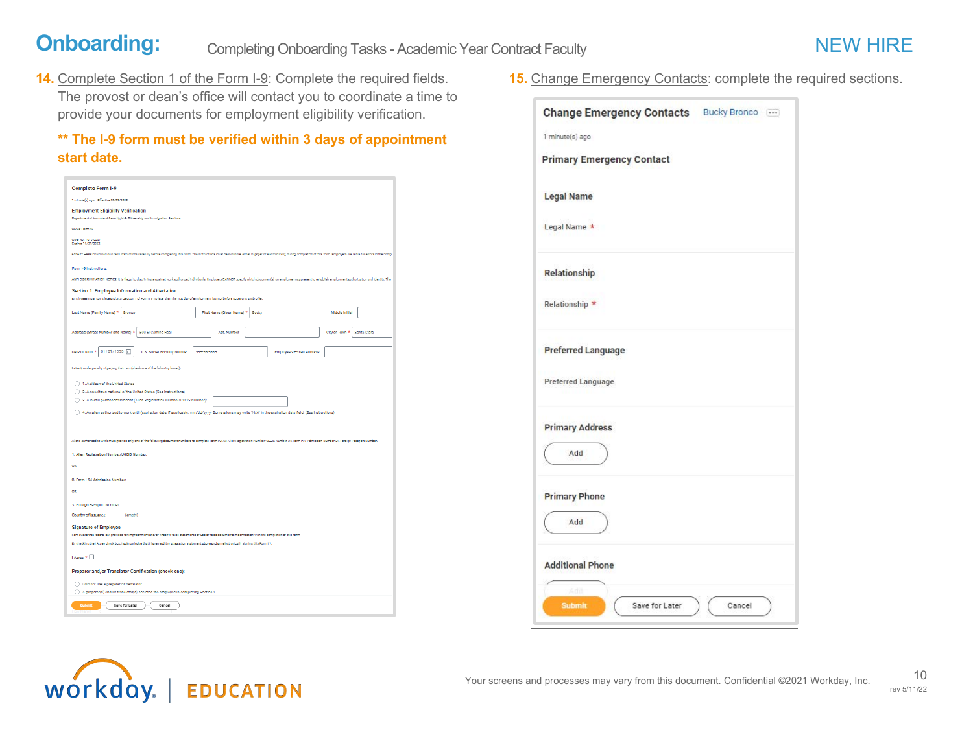**14.** Complete Section 1 of the Form I-9: Complete the required fields. The provost or dean's office will contact you to coordinate a time to provide your documents for employment eligibility verification.

### **\*\* The I-9 form must be verified within 3 days of appointment start date.**

| <b>Complete Form I-9</b>                                                                                                                                                                                                                                                                                         |  |  |  |  |
|------------------------------------------------------------------------------------------------------------------------------------------------------------------------------------------------------------------------------------------------------------------------------------------------------------------|--|--|--|--|
| 1 minute(s) ago - Rifective 05/09/2022                                                                                                                                                                                                                                                                           |  |  |  |  |
| <b>Employment Eligibility Verification</b><br>Department of Homeland Security, U.S. Citizenship and Immigration Seniosa                                                                                                                                                                                          |  |  |  |  |
| USCIS Form HP                                                                                                                                                                                                                                                                                                    |  |  |  |  |
| OMB No. 1615-0027<br>Expires 10/31/2022                                                                                                                                                                                                                                                                          |  |  |  |  |
| .START HERE Download and read instructions carefully before completing this form. The instructions must be available, when in paper or electronically, during completion of this form. Employers are hable for errors in the c                                                                                   |  |  |  |  |
| Form I-9 Instructions.                                                                                                                                                                                                                                                                                           |  |  |  |  |
| ANTYDISCRIVINATION NOTICE: it is likepi to discriminate against workeuthorized individuals. Employers CANNOT specify which documently) an employee may present to establish employment authorize time and identity. Their                                                                                        |  |  |  |  |
| Section 1. Employee Information and Attestation<br>Employees must complete and sign Section 1 of Form I-9 no later than the first day of employment, but not before accepting a job offer.                                                                                                                       |  |  |  |  |
|                                                                                                                                                                                                                                                                                                                  |  |  |  |  |
| Lest Name (Family Name) * Bronco<br>First Name (Given Name) * Bucky<br>Middle Initial                                                                                                                                                                                                                            |  |  |  |  |
| Address (Street Number and Name) *<br>500 El Camino Real<br>Santa Clara<br>Apt. Number<br>City or Town <sup>2</sup>                                                                                                                                                                                              |  |  |  |  |
| 01/01/1998 日<br>Date of Birth *<br>U.S. Social Security Number<br>555-55-5555<br>Employee's E-mail Address                                                                                                                                                                                                       |  |  |  |  |
|                                                                                                                                                                                                                                                                                                                  |  |  |  |  |
| liattest, under penalty of perjury, that I am (check one of the following booss):                                                                                                                                                                                                                                |  |  |  |  |
| 1. A ditizen of the United States                                                                                                                                                                                                                                                                                |  |  |  |  |
| 2. A noncitizen national of the United States (See Instructions)                                                                                                                                                                                                                                                 |  |  |  |  |
| 3. A lawful permanent resident (Allen Registration Number/USCIS Number):                                                                                                                                                                                                                                         |  |  |  |  |
| ○ 4. An allen authorized to work until (expiration date, if applicable, mm/dd/yyyy) Some allens may write "N/A" in the expiration date field. (See instructions)                                                                                                                                                 |  |  |  |  |
|                                                                                                                                                                                                                                                                                                                  |  |  |  |  |
| Allers authorized to work must provide only one of the following document numbers to complete Form IP. An Aller Registration Number/USCIS Number/OR Form IPA Admission Number OR Form IPA Admission Number, Number,                                                                                              |  |  |  |  |
| 1. Allen Registration Number/USCIS Number:                                                                                                                                                                                                                                                                       |  |  |  |  |
| <b>OR</b>                                                                                                                                                                                                                                                                                                        |  |  |  |  |
| 2. Form I-94 Admission Number:                                                                                                                                                                                                                                                                                   |  |  |  |  |
| og                                                                                                                                                                                                                                                                                                               |  |  |  |  |
| 3. Foreign Passport Number:                                                                                                                                                                                                                                                                                      |  |  |  |  |
| Country of Issuance:<br>(empty)                                                                                                                                                                                                                                                                                  |  |  |  |  |
| <b>Signature of Employee</b>                                                                                                                                                                                                                                                                                     |  |  |  |  |
| I am aware that federal law provides for imprisonment and/or fines for false statements or use of false documents in connection with the completion of this form.<br>By checking the LAgree check box, Lacknowledge that I have read the attentation statement above and am electronically signing this Porm MP. |  |  |  |  |
| LAgree <sup>*</sup>                                                                                                                                                                                                                                                                                              |  |  |  |  |
|                                                                                                                                                                                                                                                                                                                  |  |  |  |  |
| Preparer and/or Translator Certification (check one):                                                                                                                                                                                                                                                            |  |  |  |  |
| idd not use a preparer or translator.<br>A preparer(s) and/or translator(s) assisted the employee in completing Section 1.                                                                                                                                                                                       |  |  |  |  |
| Save for Later<br>Submit<br>Cancel                                                                                                                                                                                                                                                                               |  |  |  |  |
|                                                                                                                                                                                                                                                                                                                  |  |  |  |  |

**15.** Change Emergency Contacts: complete the required sections.

| <b>Change Emergency Contacts</b>                | Bucky Bronco |
|-------------------------------------------------|--------------|
| 1 minute(s) ago.                                |              |
| <b>Primary Emergency Contact</b>                |              |
| <b>Legal Name</b>                               |              |
| Legal Name *                                    |              |
| Relationship                                    |              |
| Relationship *                                  |              |
| <b>Preferred Language</b><br>Preferred Language |              |
| <b>Primary Address</b><br>Add                   |              |
| <b>Primary Phone</b><br>Add                     |              |
| <b>Additional Phone</b>                         |              |
| Adil                                            |              |

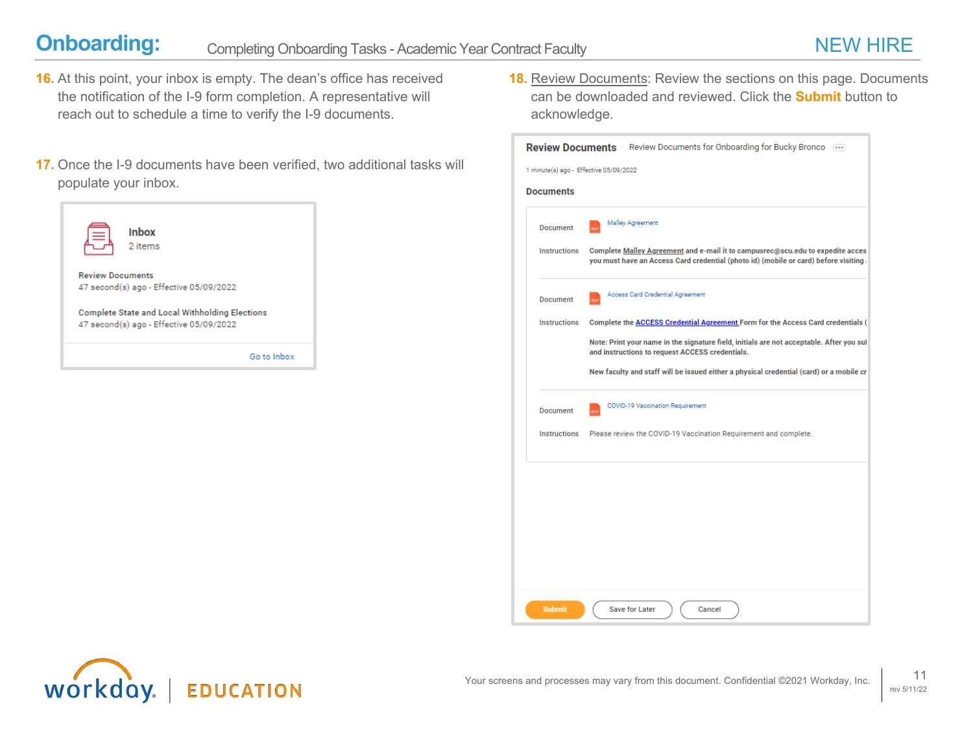- **16.** At this point, your inbox is empty. The dean's office has received the notification of the I-9 form completion. A representative will reach out to schedule a time to verify the I-9 documents.
- **17.** Once the I-9 documents have been verified, two additional tasks will populate your inbox.



**18.** Review Documents: Review the sections on this page. Documents can be downloaded and reviewed. Click the **Submit** button to acknowledge.

| 1 minute(s) ago - Effective 05/09/2022 |                                                                                                                                                                       |  |
|----------------------------------------|-----------------------------------------------------------------------------------------------------------------------------------------------------------------------|--|
| <b>Documents</b>                       |                                                                                                                                                                       |  |
| <b>Document</b>                        | Malley Agreement<br>m                                                                                                                                                 |  |
| Instructions                           | Complete Malley Agreement and e-mail it to campusrec@scu.edu to expedite acces<br>you must have an Access Card credential (photo id) (mobile or card) before visiting |  |
| <b>Document</b>                        | Access Card Credential Agreement<br>m                                                                                                                                 |  |
| Instructions                           | Complete the <b>ACCESS Credential Agreement</b> Form for the Access Card credentials (                                                                                |  |
|                                        | Note: Print your name in the signature field, initials are not acceptable. After you sul<br>and instructions to request ACCESS credentials.                           |  |
|                                        | New faculty and staff will be issued either a physical credential (card) or a mobile cr                                                                               |  |
| Document                               | COVID-19 Vaccination Requirement<br>m                                                                                                                                 |  |
| Instructions                           | Please review the COVID-19 Vaccination Requirement and complete.                                                                                                      |  |
|                                        |                                                                                                                                                                       |  |
|                                        |                                                                                                                                                                       |  |
|                                        |                                                                                                                                                                       |  |
|                                        |                                                                                                                                                                       |  |
|                                        |                                                                                                                                                                       |  |
|                                        |                                                                                                                                                                       |  |